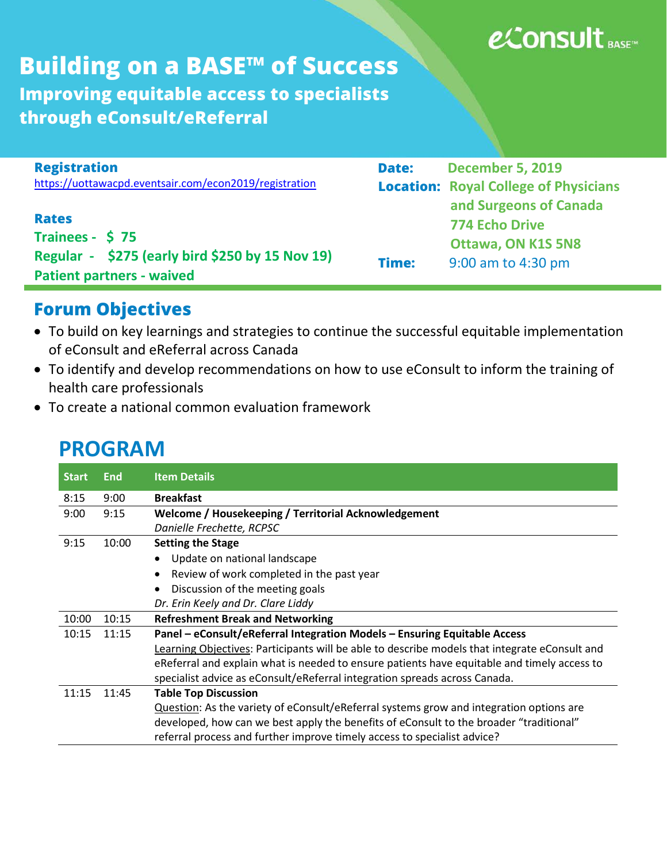# e⁄Consult BASE™

**Building on a BASE™ of Success Improving equitable access to specialists through eConsult/eReferral**

| <b>Registration</b>                                    | <b>Date:</b> | <b>December 5, 2019</b>                      |
|--------------------------------------------------------|--------------|----------------------------------------------|
| https://uottawacpd.eventsair.com/econ2019/registration |              | <b>Location: Royal College of Physicians</b> |
|                                                        |              | and Surgeons of Canada                       |
| <b>Rates</b>                                           |              | <b>774 Echo Drive</b>                        |
| Trainees - \$75                                        |              | <b>Ottawa, ON K1S 5N8</b>                    |
| Regular - \$275 (early bird \$250 by 15 Nov 19)        | Time:        | 9:00 am to 4:30 pm                           |
| <b>Patient partners - waived</b>                       |              |                                              |

### **Forum Objectives**

- To build on key learnings and strategies to continue the successful equitable implementation of eConsult and eReferral across Canada
- To identify and develop recommendations on how to use eConsult to inform the training of health care professionals
- To create a national common evaluation framework

| <b>Start</b> | <b>End</b> | <b>Item Details</b>                                                                           |
|--------------|------------|-----------------------------------------------------------------------------------------------|
| 8:15         | 9:00       | <b>Breakfast</b>                                                                              |
| 9:00         | 9:15       | Welcome / Housekeeping / Territorial Acknowledgement                                          |
|              |            | Danielle Frechette, RCPSC                                                                     |
| 9:15         | 10:00      | <b>Setting the Stage</b>                                                                      |
|              |            | Update on national landscape                                                                  |
|              |            | Review of work completed in the past year                                                     |
|              |            | Discussion of the meeting goals                                                               |
|              |            | Dr. Erin Keely and Dr. Clare Liddy                                                            |
| 10:00        | 10:15      | <b>Refreshment Break and Networking</b>                                                       |
| 10:15        | 11:15      | Panel - eConsult/eReferral Integration Models - Ensuring Equitable Access                     |
|              |            | Learning Objectives: Participants will be able to describe models that integrate eConsult and |
|              |            | eReferral and explain what is needed to ensure patients have equitable and timely access to   |
|              |            | specialist advice as eConsult/eReferral integration spreads across Canada.                    |
| 11:15        | 11:45      | <b>Table Top Discussion</b>                                                                   |
|              |            | Question: As the variety of eConsult/eReferral systems grow and integration options are       |
|              |            | developed, how can we best apply the benefits of eConsult to the broader "traditional"        |
|              |            | referral process and further improve timely access to specialist advice?                      |

## **PROGRAM**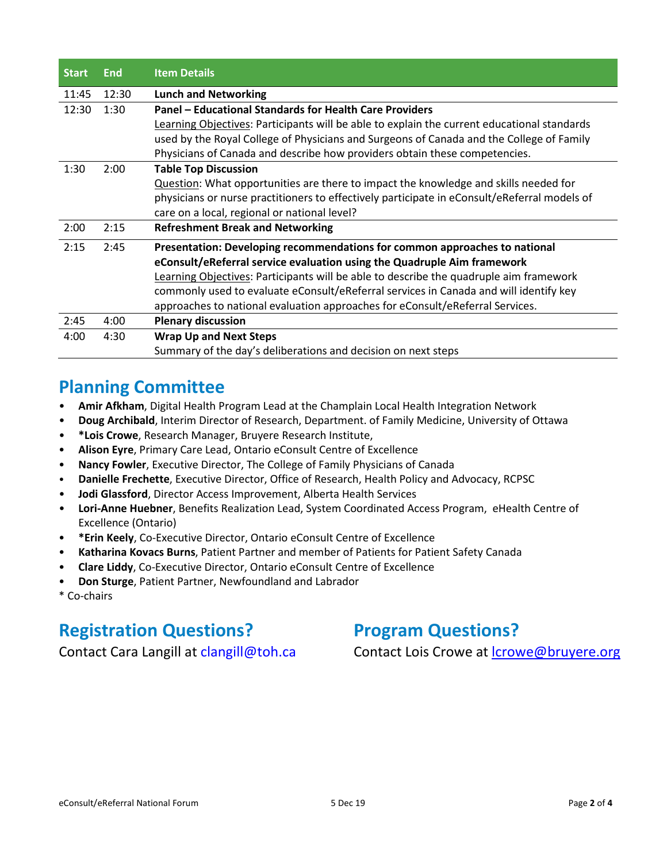| <b>Start</b> | End   | <b>Item Details</b>                                                                          |
|--------------|-------|----------------------------------------------------------------------------------------------|
| 11:45        | 12:30 | <b>Lunch and Networking</b>                                                                  |
| 12:30        | 1:30  | Panel – Educational Standards for Health Care Providers                                      |
|              |       | Learning Objectives: Participants will be able to explain the current educational standards  |
|              |       | used by the Royal College of Physicians and Surgeons of Canada and the College of Family     |
|              |       | Physicians of Canada and describe how providers obtain these competencies.                   |
| 1:30         | 2:00  | <b>Table Top Discussion</b>                                                                  |
|              |       | Question: What opportunities are there to impact the knowledge and skills needed for         |
|              |       | physicians or nurse practitioners to effectively participate in eConsult/eReferral models of |
|              |       | care on a local, regional or national level?                                                 |
| 2:00         | 2:15  | <b>Refreshment Break and Networking</b>                                                      |
| 2:15         | 2:45  | Presentation: Developing recommendations for common approaches to national                   |
|              |       | eConsult/eReferral service evaluation using the Quadruple Aim framework                      |
|              |       | Learning Objectives: Participants will be able to describe the quadruple aim framework       |
|              |       | commonly used to evaluate eConsult/eReferral services in Canada and will identify key        |
|              |       | approaches to national evaluation approaches for eConsult/eReferral Services.                |
| 2:45         | 4:00  | <b>Plenary discussion</b>                                                                    |
| 4:00         | 4:30  | <b>Wrap Up and Next Steps</b>                                                                |
|              |       | Summary of the day's deliberations and decision on next steps                                |

#### **Planning Committee**

- **Amir Afkham**, Digital Health Program Lead at the Champlain Local Health Integration Network
- **Doug Archibald**, Interim Director of Research, Department. of Family Medicine, University of Ottawa
- **\*Lois Crowe**, Research Manager, Bruyere Research Institute,
- **Alison Eyre**, Primary Care Lead, Ontario eConsult Centre of Excellence
- **Nancy Fowler**, Executive Director, The College of Family Physicians of Canada
- **Danielle Frechette**, Executive Director, Office of Research, Health Policy and Advocacy, RCPSC
- **Jodi Glassford**, Director Access Improvement, Alberta Health Services
- **Lori-Anne Huebner**, Benefits Realization Lead, System Coordinated Access Program, eHealth Centre of Excellence (Ontario)
- **\*Erin Keely**, Co-Executive Director, Ontario eConsult Centre of Excellence
- **Katharina Kovacs Burns**, Patient Partner and member of Patients for Patient Safety Canada
- **Clare Liddy**, Co-Executive Director, Ontario eConsult Centre of Excellence
- **Don Sturge**, Patient Partner, Newfoundland and Labrador
- \* Co-chairs

#### **Registration Questions?** Program Questions?

Contact Cara Langill at clangill@toh.ca Contact Lois Crowe at Icrowe@bruyere.org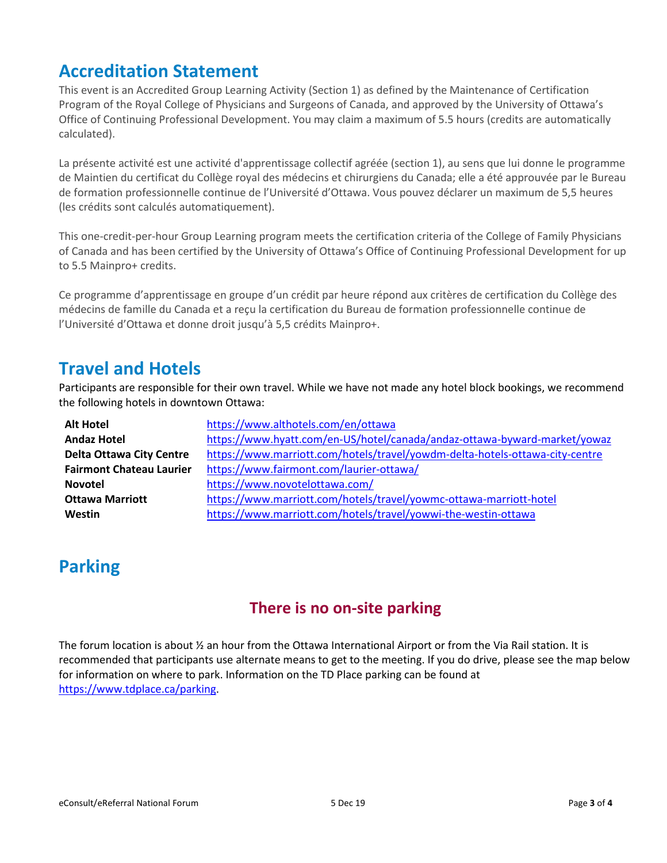#### **Accreditation Statement**

This event is an Accredited Group Learning Activity (Section 1) as defined by the Maintenance of Certification Program of the Royal College of Physicians and Surgeons of Canada, and approved by the University of Ottawa's Office of Continuing Professional Development. You may claim a maximum of 5.5 hours (credits are automatically calculated).

La présente activité est une activité d'apprentissage collectif agréée (section 1), au sens que lui donne le programme de Maintien du certificat du Collège royal des médecins et chirurgiens du Canada; elle a été approuvée par le Bureau de formation professionnelle continue de l'Université d'Ottawa. Vous pouvez déclarer un maximum de 5,5 heures (les crédits sont calculés automatiquement).

This one-credit-per-hour Group Learning program meets the certification criteria of the College of Family Physicians of Canada and has been certified by the University of Ottawa's Office of Continuing Professional Development for up to 5.5 Mainpro+ credits.

Ce programme d'apprentissage en groupe d'un crédit par heure répond aux critères de certification du Collège des médecins de famille du Canada et a reçu la certification du Bureau de formation professionnelle continue de l'Université d'Ottawa et donne droit jusqu'à 5,5 crédits Mainpro+.

#### **Travel and Hotels**

Participants are responsible for their own travel. While we have not made any hotel block bookings, we recommend the following hotels in downtown Ottawa:

| <b>Alt Hotel</b>                | https://www.althotels.com/en/ottawa                                          |
|---------------------------------|------------------------------------------------------------------------------|
| <b>Andaz Hotel</b>              | https://www.hyatt.com/en-US/hotel/canada/andaz-ottawa-byward-market/yowaz    |
| <b>Delta Ottawa City Centre</b> | https://www.marriott.com/hotels/travel/yowdm-delta-hotels-ottawa-city-centre |
| <b>Fairmont Chateau Laurier</b> | https://www.fairmont.com/laurier-ottawa/                                     |
| <b>Novotel</b>                  | https://www.novotelottawa.com/                                               |
| <b>Ottawa Marriott</b>          | https://www.marriott.com/hotels/travel/yowmc-ottawa-marriott-hotel           |
| Westin                          | https://www.marriott.com/hotels/travel/yowwi-the-westin-ottawa               |

#### **Parking**

#### **There is no on-site parking**

The forum location is about ½ an hour from the Ottawa International Airport or from the Via Rail station. It is recommended that participants use alternate means to get to the meeting. If you do drive, please see the map below for information on where to park. Information on the TD Place parking can be found at [https://www.tdplace.ca/parking.](https://www.tdplace.ca/parking)